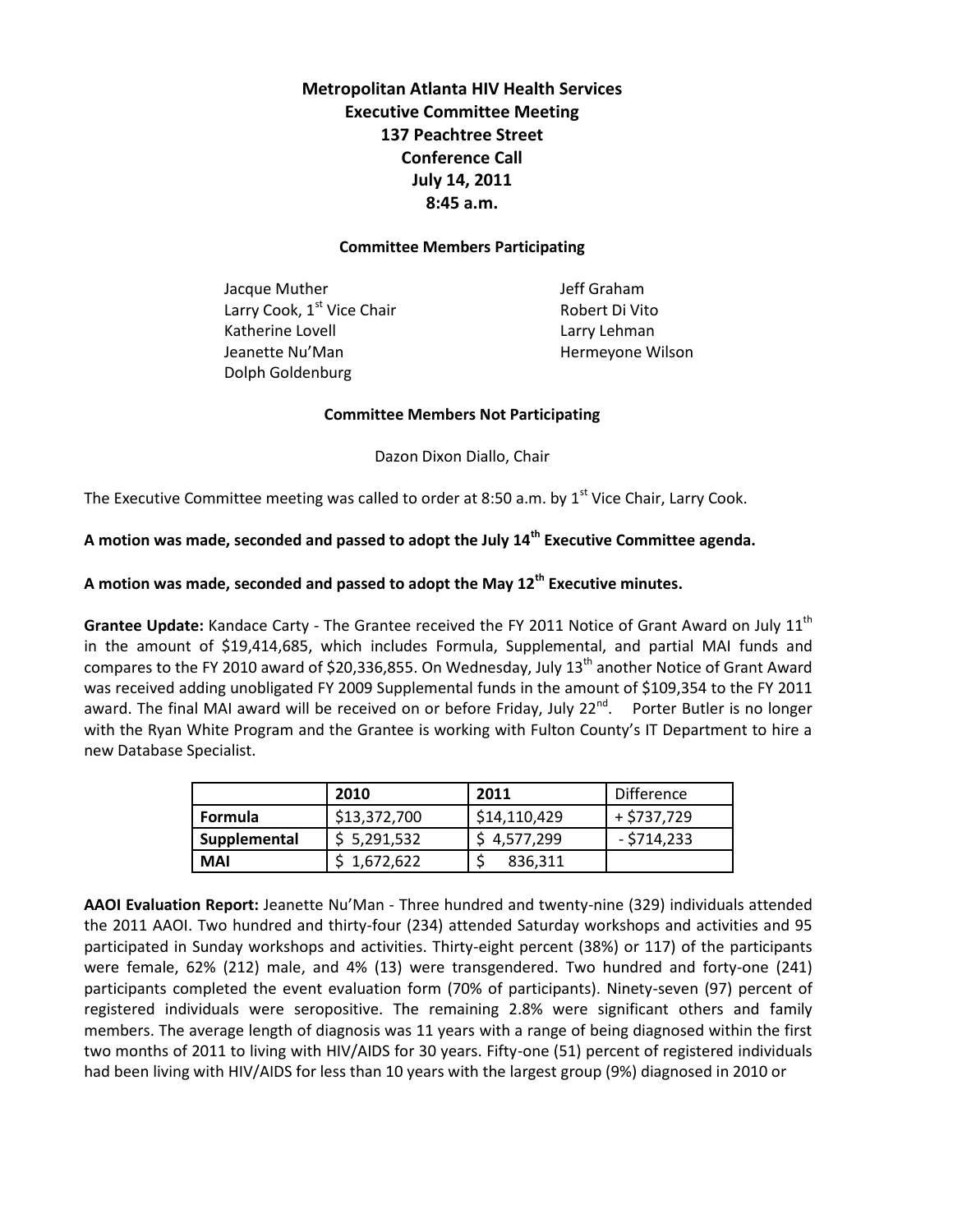**Metropolitan Atlanta HIV Health Services Executive Committee Meeting 137 Peachtree Street Conference Call July 14, 2011 8:45 a.m.** 

#### **Committee Members Participating**

Jacque Muther **Jeff Graham** Larry Cook,  $1^{st}$  Vice Chair Robert Di Vito Katherine Lovell **Lack Contract Contract Contract Contract Contract Contract Contract Contract Contract Contract Contract Contract Contract Contract Contract Contract Contract Contract Contract Contract Contract Contract C** Jeanette Nu'Man **Hermeyone Wilson** Dolph Goldenburg

#### **Committee Members Not Participating**

Dazon Dixon Diallo, Chair

The Executive Committee meeting was called to order at 8:50 a.m. by  $1<sup>st</sup>$  Vice Chair, Larry Cook.

# **A motion was made, seconded and passed to adopt the July 14th Executive Committee agenda.**

## **A motion was made, seconded and passed to adopt the May 12th Executive minutes.**

Grantee Update: Kandace Carty - The Grantee received the FY 2011 Notice of Grant Award on July 11<sup>th</sup> in the amount of \$19,414,685, which includes Formula, Supplemental, and partial MAI funds and compares to the FY 2010 award of \$20,336,855. On Wednesday, July 13<sup>th</sup> another Notice of Grant Award was received adding unobligated FY 2009 Supplemental funds in the amount of \$109,354 to the FY 2011 award. The final MAI award will be received on or before Friday, July 22<sup>nd</sup>. Porter Butler is no longer with the Ryan White Program and the Grantee is working with Fulton County's IT Department to hire a new Database Specialist.

|              | 2010         | 2011         | Difference    |
|--------------|--------------|--------------|---------------|
| Formula      | \$13,372,700 | \$14,110,429 | + \$737,729   |
| Supplemental | \$5,291,532  | \$4,577,299  | $-$ \$714,233 |
| <b>MAI</b>   | 1,672,622    | 836,311      |               |

**AAOI Evaluation Report:** Jeanette Nu'Man - Three hundred and twenty-nine (329) individuals attended the 2011 AAOI. Two hundred and thirty-four (234) attended Saturday workshops and activities and 95 participated in Sunday workshops and activities. Thirty-eight percent (38%) or 117) of the participants were female, 62% (212) male, and 4% (13) were transgendered. Two hundred and forty-one (241) participants completed the event evaluation form (70% of participants). Ninety-seven (97) percent of registered individuals were seropositive. The remaining 2.8% were significant others and family members. The average length of diagnosis was 11 years with a range of being diagnosed within the first two months of 2011 to living with HIV/AIDS for 30 years. Fifty-one (51) percent of registered individuals had been living with HIV/AIDS for less than 10 years with the largest group (9%) diagnosed in 2010 or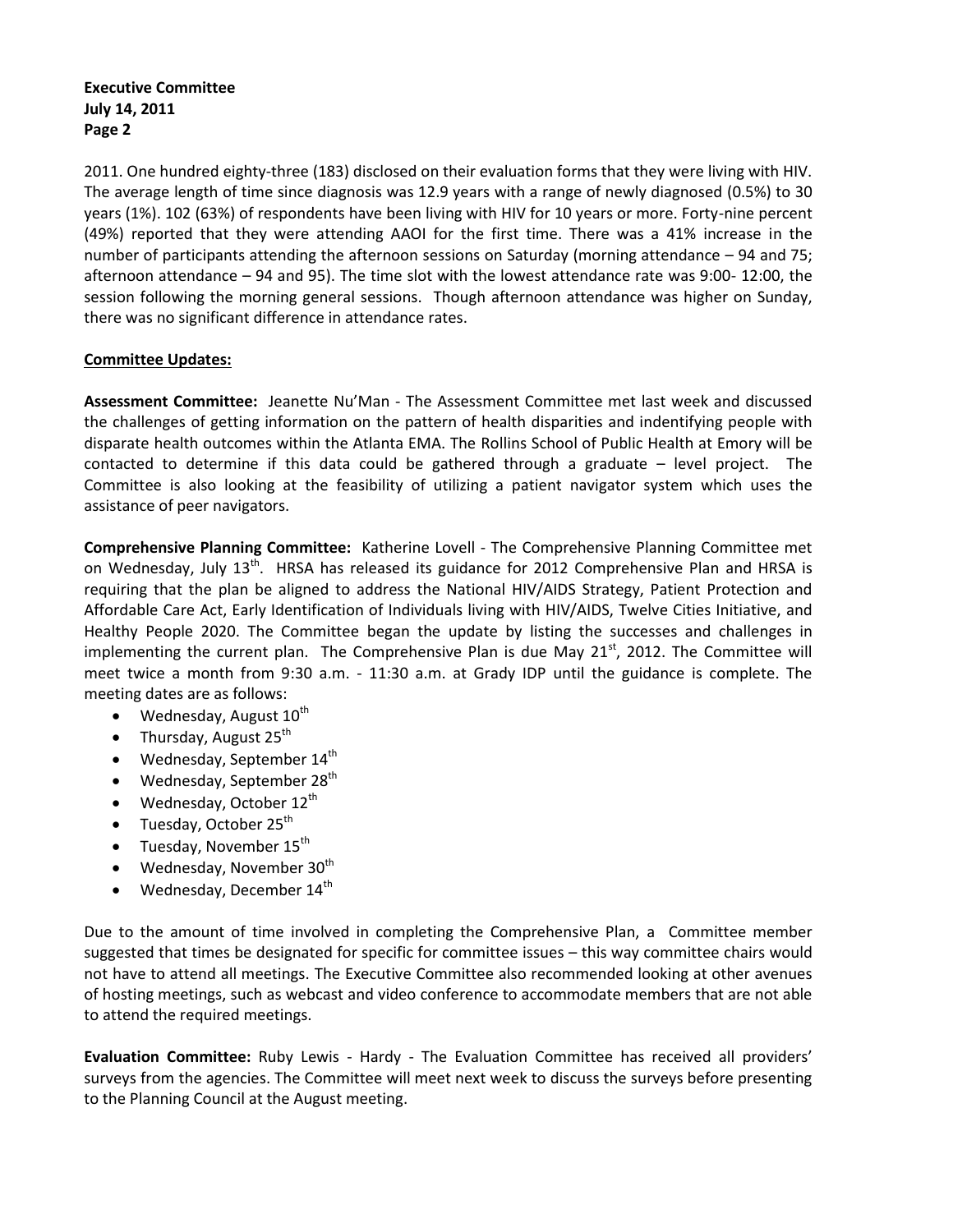### **Executive Committee July 14, 2011 Page 2**

2011. One hundred eighty-three (183) disclosed on their evaluation forms that they were living with HIV. The average length of time since diagnosis was 12.9 years with a range of newly diagnosed (0.5%) to 30 years (1%). 102 (63%) of respondents have been living with HIV for 10 years or more. Forty-nine percent (49%) reported that they were attending AAOI for the first time. There was a 41% increase in the number of participants attending the afternoon sessions on Saturday (morning attendance – 94 and 75; afternoon attendance – 94 and 95). The time slot with the lowest attendance rate was 9:00- 12:00, the session following the morning general sessions. Though afternoon attendance was higher on Sunday, there was no significant difference in attendance rates.

## **Committee Updates:**

**Assessment Committee:** Jeanette Nu'Man - The Assessment Committee met last week and discussed the challenges of getting information on the pattern of health disparities and indentifying people with disparate health outcomes within the Atlanta EMA. The Rollins School of Public Health at Emory will be contacted to determine if this data could be gathered through a graduate – level project. The Committee is also looking at the feasibility of utilizing a patient navigator system which uses the assistance of peer navigators.

**Comprehensive Planning Committee:** Katherine Lovell - The Comprehensive Planning Committee met on Wednesday, July 13<sup>th</sup>. HRSA has released its guidance for 2012 Comprehensive Plan and HRSA is requiring that the plan be aligned to address the National HIV/AIDS Strategy, Patient Protection and Affordable Care Act, Early Identification of Individuals living with HIV/AIDS, Twelve Cities Initiative, and Healthy People 2020. The Committee began the update by listing the successes and challenges in implementing the current plan. The Comprehensive Plan is due May  $21<sup>st</sup>$ , 2012. The Committee will meet twice a month from 9:30 a.m. - 11:30 a.m. at Grady IDP until the guidance is complete. The meeting dates are as follows:

- Wednesday, August  $10^{th}$
- Thursday, August  $25^{th}$
- $\bullet$  Wednesday, September 14<sup>th</sup>
- $\bullet$  Wednesday, September 28<sup>th</sup>
- $\bullet$  Wednesday, October 12<sup>th</sup>
- $\bullet$  Tuesday, October 25<sup>th</sup>
- Tuesday, November  $15^{th}$
- Wednesday, November  $30<sup>th</sup>$
- $\bullet$  Wednesday, December 14<sup>th</sup>

Due to the amount of time involved in completing the Comprehensive Plan, a Committee member suggested that times be designated for specific for committee issues – this way committee chairs would not have to attend all meetings. The Executive Committee also recommended looking at other avenues of hosting meetings, such as webcast and video conference to accommodate members that are not able to attend the required meetings.

**Evaluation Committee:** Ruby Lewis - Hardy - The Evaluation Committee has received all providers' surveys from the agencies. The Committee will meet next week to discuss the surveys before presenting to the Planning Council at the August meeting.